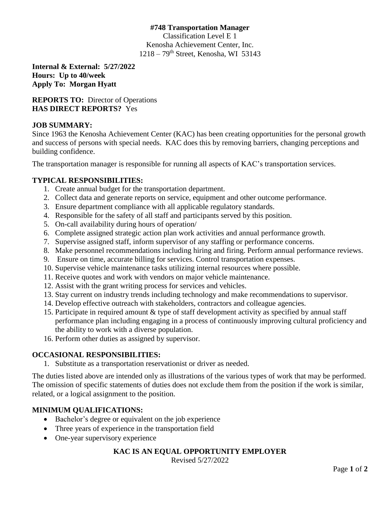## **#748 Transportation Manager**

Classification Level E 1 Kenosha Achievement Center, Inc. 1218 – 79th Street, Kenosha, WI 53143

**Internal & External: 5/27/2022 Hours: Up to 40/week Apply To: Morgan Hyatt**

# **REPORTS TO:** Director of Operations **HAS DIRECT REPORTS?** Yes

#### **JOB SUMMARY:**

Since 1963 the Kenosha Achievement Center (KAC) has been creating opportunities for the personal growth and success of persons with special needs. KAC does this by removing barriers, changing perceptions and building confidence.

The transportation manager is responsible for running all aspects of KAC's transportation services.

#### **TYPICAL RESPONSIBILITIES:**

- 1. Create annual budget for the transportation department.
- 2. Collect data and generate reports on service, equipment and other outcome performance.
- 3. Ensure department compliance with all applicable regulatory standards.
- 4. Responsible for the safety of all staff and participants served by this position.
- 5. On-call availability during hours of operation/
- 6. Complete assigned strategic action plan work activities and annual performance growth.
- 7. Supervise assigned staff, inform supervisor of any staffing or performance concerns.
- 8. Make personnel recommendations including hiring and firing. Perform annual performance reviews.
- 9. Ensure on time, accurate billing for services. Control transportation expenses.
- 10. Supervise vehicle maintenance tasks utilizing internal resources where possible.
- 11. Receive quotes and work with vendors on major vehicle maintenance.
- 12. Assist with the grant writing process for services and vehicles.
- 13. Stay current on industry trends including technology and make recommendations to supervisor.
- 14. Develop effective outreach with stakeholders, contractors and colleague agencies.
- 15. Participate in required amount & type of staff development activity as specified by annual staff performance plan including engaging in a process of continuously improving cultural proficiency and the ability to work with a diverse population.
- 16. Perform other duties as assigned by supervisor.

# **OCCASIONAL RESPONSIBILITIES:**

1. Substitute as a transportation reservationist or driver as needed.

The duties listed above are intended only as illustrations of the various types of work that may be performed. The omission of specific statements of duties does not exclude them from the position if the work is similar, related, or a logical assignment to the position.

# **MINIMUM QUALIFICATIONS:**

- Bachelor's degree or equivalent on the job experience
- Three years of experience in the transportation field
- One-year supervisory experience

# **KAC IS AN EQUAL OPPORTUNITY EMPLOYER**

Revised 5/27/2022